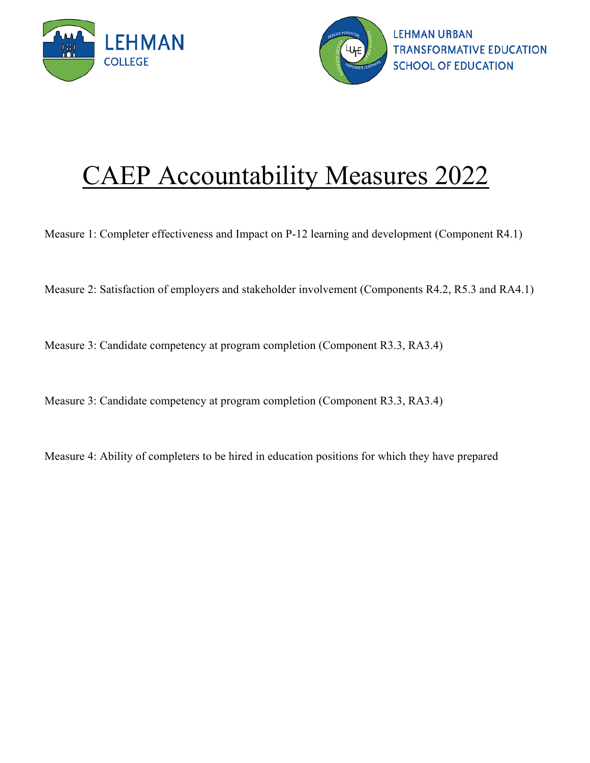



## CAEP Accountability Measures 2022

Measure 1: Completer effectiveness and Impact on P-12 learning and [development \(Component R4.1\)](#page-1-0)

Measure 2: Satisfaction of employers and stakeholder [involvement \(Components R4.2, R5.3](#page-2-0) and RA4.1)

[Measure 3: Candidate competency at program completion](#page-3-0) (Component R3.3, RA3.4)

[Measure 3: Candidate competency at program completion](#page-4-0) (Component R3.3, RA3.4)

Measure 4: Ability of [completers to be hired in education positions for](#page-5-0) which they have prepared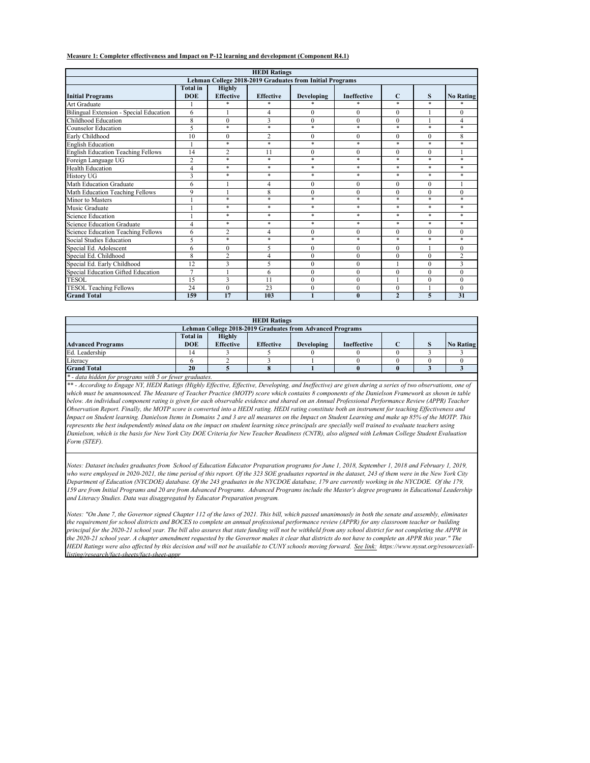<span id="page-1-0"></span>**Measure 1: Completer effectiveness and Impact on P-12 learning and development (Component R4.1)**

|                                           |                               |                                   | <b>HEDI Ratings</b> |                                                          |                    |                  |                  |                  |
|-------------------------------------------|-------------------------------|-----------------------------------|---------------------|----------------------------------------------------------|--------------------|------------------|------------------|------------------|
|                                           |                               |                                   |                     | Lehman College 2018-2019 Graduates from Initial Programs |                    |                  |                  |                  |
| <b>Initial Programs</b>                   | <b>Total</b> in<br><b>DOE</b> | <b>Highly</b><br><b>Effective</b> | <b>Effective</b>    | <b>Developing</b>                                        | <b>Ineffective</b> | $\mathbf C$      | S                | <b>No Rating</b> |
| <b>Art Graduate</b>                       |                               | $\ast$                            | $\ast$              | $\ast$                                                   | $\ast$             | $\ast$           | $\ast$           | $\ast$           |
| Bilingual Extension - Special Education   | 6                             |                                   | 4                   | $\overline{0}$                                           | $\boldsymbol{0}$   | $\overline{0}$   |                  | $\boldsymbol{0}$ |
| Childhood Education                       | $\overline{8}$                | $\overline{0}$                    | 3                   | $\overline{0}$                                           | $\overline{0}$     | $\overline{0}$   |                  | 4                |
| <b>Counselor Education</b>                | 5                             | $\ast$                            | $\ast$              | $\ast$                                                   | $\ast$             | $\ast$           | $\ast$           | $\ast$           |
| Early Childhood                           | 10                            | $\overline{0}$                    | $\overline{2}$      | $\overline{0}$                                           | $\boldsymbol{0}$   | $\overline{0}$   | $\boldsymbol{0}$ | 8                |
| <b>English Education</b>                  |                               | $\ast$                            | $\ast$              | $\ast$                                                   | $\ast$             | $\ast$           | $\ast$           | $\ast$           |
| <b>English Education Teaching Fellows</b> | 14                            | $\overline{2}$                    | 11                  | $\overline{0}$                                           | $\overline{0}$     | $\theta$         | $\overline{0}$   | $\mathbf{1}$     |
| Foreign Language UG                       | $\overline{2}$                | $\ast$                            | $\ast$              | $\ast$                                                   | $\ast$             | $\ast$           | $\ast$           | $\ast$           |
| <b>Health Education</b>                   | 4                             | $\ast$                            | $\ast$              | $*$                                                      | $\ast$             | $\ast$           | $\ast$           | $\ast$           |
| <b>History UG</b>                         | $\overline{3}$                | $\ast$                            | $\ast$              | $\ast$                                                   | $\ast$             | $\ast$           | $\ast$           | $\ast$           |
| <b>Math Education Graduate</b>            | 6                             |                                   | 4                   | $\overline{0}$                                           | $\overline{0}$     | $\overline{0}$   | $\overline{0}$   |                  |
| Math Education Teaching Fellows           | 9                             |                                   | 8                   | $\overline{0}$                                           | $\overline{0}$     | $\boldsymbol{0}$ | $\boldsymbol{0}$ | $\overline{0}$   |
| <b>Minor to Masters</b>                   |                               | $\ast$                            | $\ast$              | $\ast$                                                   | $\ast$             | $\ast$           | $\ast$           | $\ast$           |
| Music Graduate                            |                               | $\ast$                            | $\ast$              | $\ast$                                                   | $\ast$             | $\ast$           | $\ast$           | $\ast$           |
| <b>Science Education</b>                  |                               | $\ast$                            | $\ast$              | $\ast$                                                   | $\ast$             | $\ast$           | $\ast$           | $\ast$           |
| Science Education Graduate                | 4                             | $\ast$                            | $\ast$              | $\ast$                                                   | $\ast$             | $\ast$           | $\ast$           | $\ast$           |
| Science Education Teaching Fellows        | 6                             | $\overline{2}$                    | 4                   | $\overline{0}$                                           | $\boldsymbol{0}$   | $\overline{0}$   | $\boldsymbol{0}$ | $\mathbf{0}$     |
| Social Studies Education                  | 5                             | $\ast$                            | $\ast$              | $*$                                                      | $\ast$             | $\ast$           | $\ast$           | $\ast$           |
| Special Ed. Adolescent                    | 6                             | $\overline{0}$                    | 5                   | $\overline{0}$                                           | $\overline{0}$     | $\overline{0}$   |                  | $\theta$         |
| Special Ed. Childhood                     | 8                             | $\overline{2}$                    | 4                   | $\overline{0}$                                           | $\overline{0}$     | $\overline{0}$   | $\overline{0}$   | $\overline{2}$   |
| Special Ed. Early Childhood               | 12                            | 3                                 | 5                   | $\theta$                                                 | $\overline{0}$     |                  | $\overline{0}$   | 3                |
| Special Education Gifted Education        | $\overline{7}$                |                                   | 6                   | $\overline{0}$                                           | $\boldsymbol{0}$   | $\boldsymbol{0}$ | $\boldsymbol{0}$ | $\boldsymbol{0}$ |
| <b>TESOL</b>                              | 15                            | 3                                 | 11                  | $\overline{0}$                                           | $\overline{0}$     |                  | $\boldsymbol{0}$ | $\overline{0}$   |
| <b>TESOL Teaching Fellows</b>             | 24                            | $\overline{0}$                    | 23                  | $\overline{0}$                                           | $\boldsymbol{0}$   | $\overline{0}$   |                  | $\boldsymbol{0}$ |
| <b>Grand Total</b>                        | 159                           | 17                                | 103                 |                                                          | $\boldsymbol{0}$   | $\overline{2}$   | 5                | 31               |

*who were employed in 2020-2021, the time period of this report. Of the 323 SOE graduates reported in the dataset, 243 of them were in the New York City Department of Education (NYCDOE) database. Of the 243 graduates in the NYCDOE database, 179 are currently working in the NYCDOE. Of the 179,* 

*159 are from Initial Programs and 20 are from Advanced Programs. Advanced Programs include the Master's degree programs in Educational Leadership and Literacy Studies. Data was disaggregated by Educator Preparation program.* 

*Notes: "On June 7, the Governor signed Chapter 112 of the laws of 2021. This bill, which passed unanimously in both the senate and assembly, eliminates the requirement for school districts and BOCES to complete an annual professional performance review (APPR) for any classroom teacher or building principal for the 2020-21 school year. The bill also assures that state funding will not be withheld from any school district for not completing the APPR in the 2020-21 school year. A chapter amendment requested by the Governor makes it clear that districts do not have to complete an APPR this year." The*  HEDI Ratings were also affected by this decision and will not be available to CUNY schools moving forward. See link: https://www.nysut.org/resources/all*listing/research/fact-sheets/fact-sheet-appr*

|                                                                                                                                                                                                                                                                                                                                                                                                                                                                                                                                                                                                                                                                                                                                                                                                                                                                                                                                               |                 |                  | <b>HEDI</b> Ratings |                                                                  |                    |                  |          |                  |
|-----------------------------------------------------------------------------------------------------------------------------------------------------------------------------------------------------------------------------------------------------------------------------------------------------------------------------------------------------------------------------------------------------------------------------------------------------------------------------------------------------------------------------------------------------------------------------------------------------------------------------------------------------------------------------------------------------------------------------------------------------------------------------------------------------------------------------------------------------------------------------------------------------------------------------------------------|-----------------|------------------|---------------------|------------------------------------------------------------------|--------------------|------------------|----------|------------------|
|                                                                                                                                                                                                                                                                                                                                                                                                                                                                                                                                                                                                                                                                                                                                                                                                                                                                                                                                               |                 |                  |                     | <b>Lehman College 2018-2019 Graduates from Advanced Programs</b> |                    |                  |          |                  |
|                                                                                                                                                                                                                                                                                                                                                                                                                                                                                                                                                                                                                                                                                                                                                                                                                                                                                                                                               | <b>Total</b> in | <b>Highly</b>    |                     |                                                                  |                    |                  |          |                  |
| <b>Advanced Programs</b>                                                                                                                                                                                                                                                                                                                                                                                                                                                                                                                                                                                                                                                                                                                                                                                                                                                                                                                      | <b>DOE</b>      | <b>Effective</b> | <b>Effective</b>    | <b>Developing</b>                                                | <b>Ineffective</b> | $\mathbf C$      | S.       | <b>No Rating</b> |
| Ed. Leadership                                                                                                                                                                                                                                                                                                                                                                                                                                                                                                                                                                                                                                                                                                                                                                                                                                                                                                                                | 14              |                  |                     |                                                                  | $\theta$           | $\Omega$         |          | 3                |
| Literacy                                                                                                                                                                                                                                                                                                                                                                                                                                                                                                                                                                                                                                                                                                                                                                                                                                                                                                                                      | 6               | $\overline{2}$   |                     |                                                                  | $\theta$           | $\theta$         | $\theta$ | $\theta$         |
| <b>Grand Total</b>                                                                                                                                                                                                                                                                                                                                                                                                                                                                                                                                                                                                                                                                                                                                                                                                                                                                                                                            | 20              | 5                | 8                   |                                                                  | $\boldsymbol{0}$   | $\boldsymbol{0}$ | 3        | $\overline{3}$   |
| $\ast$ - data hidden for programs with 5 or fewer graduates.                                                                                                                                                                                                                                                                                                                                                                                                                                                                                                                                                                                                                                                                                                                                                                                                                                                                                  |                 |                  |                     |                                                                  |                    |                  |          |                  |
| ** - According to Engage NY, HEDI Ratings (Highly Effective, Effective, Developing, and Ineffective) are given during a series of two observations, one of<br>which must be unannounced. The Measure of Teacher Practice (MOTP) score which contains 8 components of the Danielson Framework as shown in table<br>below. An individual component rating is given for each observable evidence and shared on an Annual Professional Performance Review (APPR) Teacher<br>Observation Report. Finally, the MOTP score is converted into a HEDI rating. HEDI rating constitute both an instrument for teaching Effectiveness and<br>Impact on Student learning. Danielson Items in Domains 2 and 3 are all measures on the Impact on Student Learning and make up 85% of the MOTP. This<br>represents the best independently mined data on the impact on student learning since principals are specially well trained to evaluate teachers using |                 |                  |                     |                                                                  |                    |                  |          |                  |
| Danielson, which is the basis for New York City DOE Criteria for New Teacher Readiness (CNTR), also aligned with Lehman College Student Evaluation<br>Form (STEF).                                                                                                                                                                                                                                                                                                                                                                                                                                                                                                                                                                                                                                                                                                                                                                            |                 |                  |                     |                                                                  |                    |                  |          |                  |
| Notes: Dataset includes graduates from School of Education Educator Preparation programs for June 1, 2018, September 1, 2018 and February 1, 2019,<br>who were employed in 2020, 2021, the time powiad of this report. Of the 323 SOE graduates reported in the dataset 243 of them were in the New York City                                                                                                                                                                                                                                                                                                                                                                                                                                                                                                                                                                                                                                 |                 |                  |                     |                                                                  |                    |                  |          |                  |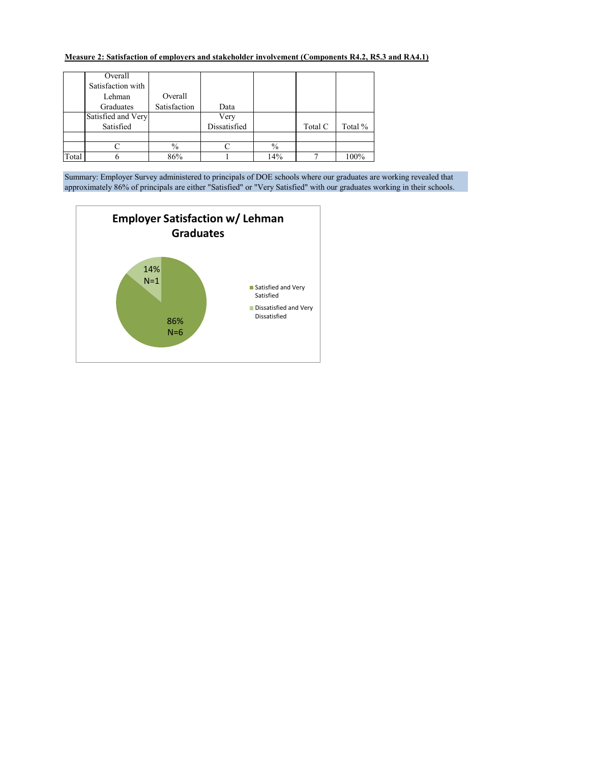## <span id="page-2-0"></span>**Measure 2: Satisfaction of employers and stakeholder involvement (Components R4.2, R5.3 and RA4.1)**

|       | Overall            |               |              |               |         |         |
|-------|--------------------|---------------|--------------|---------------|---------|---------|
|       | Satisfaction with  |               |              |               |         |         |
|       | Lehman             | Overall       |              |               |         |         |
|       | Graduates          | Satisfaction  | Data         |               |         |         |
|       | Satisfied and Very |               | Very         |               |         |         |
|       | Satisfied          |               | Dissatisfied |               | Total C | Total % |
|       |                    |               |              |               |         |         |
|       |                    | $\frac{0}{0}$ |              | $\frac{0}{0}$ |         |         |
| Total |                    | 86%           |              | 14%           |         | 100%    |

Summary: Employer Survey administered to principals of DOE schools where our graduates are working revealed that approximately 86% of principals are either "Satisfied" or "Very Satisfied" with our graduates working in their schools.

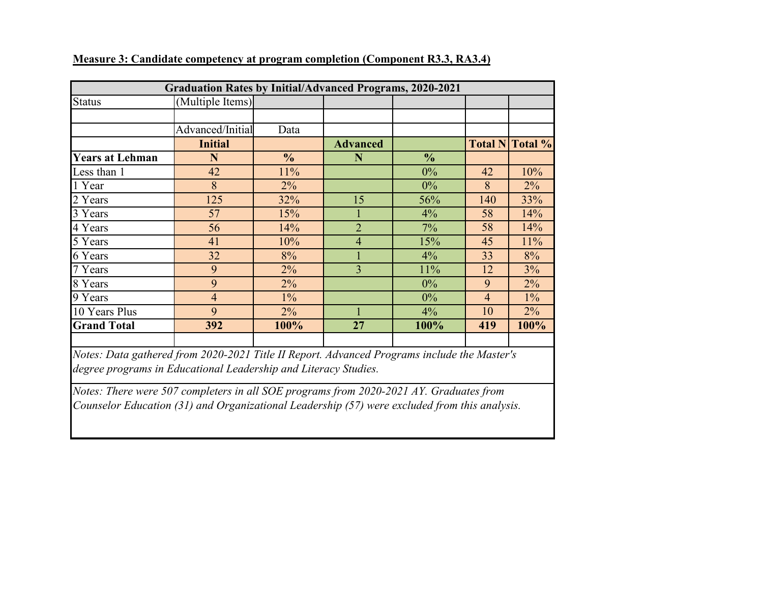|                        | <b>Graduation Rates by Initial/Advanced Programs, 2020-2021</b> |               |                 |               |                |         |
|------------------------|-----------------------------------------------------------------|---------------|-----------------|---------------|----------------|---------|
| <b>Status</b>          | (Multiple Items)                                                |               |                 |               |                |         |
|                        |                                                                 |               |                 |               |                |         |
|                        | Advanced/Initial                                                | Data          |                 |               |                |         |
|                        | <b>Initial</b>                                                  |               | <b>Advanced</b> |               | <b>Total N</b> | Total % |
| <b>Years at Lehman</b> | N                                                               | $\frac{0}{0}$ | N               | $\frac{0}{0}$ |                |         |
| Less than 1            | 42                                                              | 11%           |                 | 0%            | 42             | 10%     |
| 1 Year                 | 8                                                               | $2\%$         |                 | 0%            | 8              | $2\%$   |
| 2 Years                | 125                                                             | 32%           | 15              | 56%           | 140            | 33%     |
| 3 Years                | 57                                                              | 15%           |                 | 4%            | 58             | 14%     |
| 4 Years                | 56                                                              | 14%           | $\overline{2}$  | 7%            | 58             | 14%     |
| 5 Years                | 41                                                              | 10%           | $\overline{4}$  | 15%           | 45             | 11%     |
| 6 Years                | 32                                                              | 8%            |                 | 4%            | 33             | 8%      |
| 7 Years                | 9                                                               | $2\%$         | 3               | 11%           | 12             | 3%      |
| 8 Years                | 9                                                               | 2%            |                 | $0\%$         | 9              | $2\%$   |
| 9 Years                | $\overline{4}$                                                  | $1\%$         |                 | $0\%$         | $\overline{4}$ | $1\%$   |
| 10 Years Plus          | 9                                                               | 2%            |                 | 4%            | 10             | 2%      |
| <b>Grand Total</b>     | 392                                                             | 100%          | 27              | 100%          | 419            | 100%    |
|                        |                                                                 |               |                 |               |                |         |

<span id="page-3-0"></span>**Measure 3: Candidate competency at program completion (Component R3.3, RA3.4)**

*Notes: Data gathered from 2020-2021 Title II Report. Advanced Programs include the Master's degree programs in Educational Leadership and Literacy Studies.*

*Notes: There were 507 completers in all SOE programs from 2020-2021 AY. Graduates from Counselor Education (31) and Organizational Leadership (57) were excluded from this analysis.*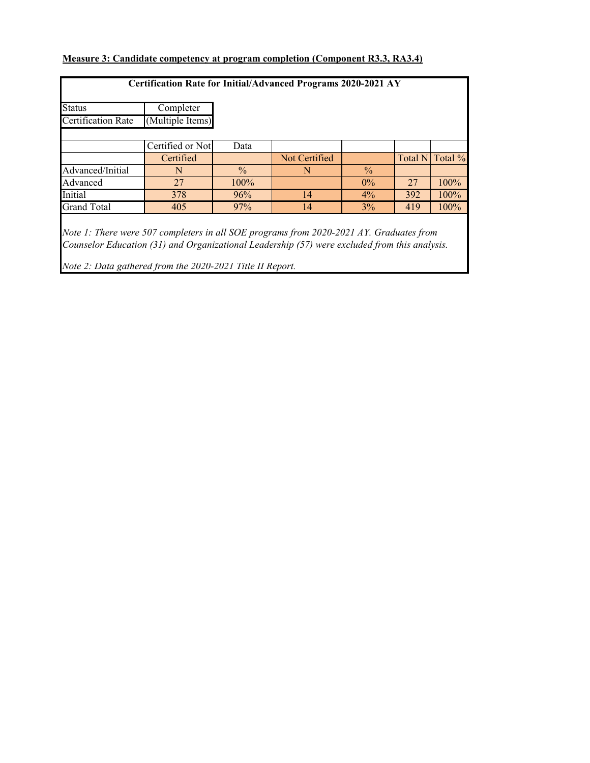## <span id="page-4-0"></span>**Measure 3: Candidate competency at program completion (Component R3.3, RA3.4)**

| <b>Certification Rate for Initial/Advanced Programs 2020-2021 AY</b>                                                                                                                                          |                  |               |               |               |                |         |  |  |  |
|---------------------------------------------------------------------------------------------------------------------------------------------------------------------------------------------------------------|------------------|---------------|---------------|---------------|----------------|---------|--|--|--|
| <b>Status</b>                                                                                                                                                                                                 | Completer        |               |               |               |                |         |  |  |  |
| <b>Certification Rate</b>                                                                                                                                                                                     | (Multiple Items) |               |               |               |                |         |  |  |  |
|                                                                                                                                                                                                               |                  |               |               |               |                |         |  |  |  |
|                                                                                                                                                                                                               | Certified or Not | Data          |               |               |                |         |  |  |  |
|                                                                                                                                                                                                               | Certified        |               | Not Certified |               | <b>Total N</b> | Total % |  |  |  |
| Advanced/Initial                                                                                                                                                                                              | N                | $\frac{0}{0}$ | N             | $\frac{0}{0}$ |                |         |  |  |  |
| Advanced                                                                                                                                                                                                      | 27               | 100%          |               | $0\%$         | 27             | 100%    |  |  |  |
| Initial                                                                                                                                                                                                       | 378              | 96%           | 14            | 4%            | 392            | 100%    |  |  |  |
| <b>Grand Total</b>                                                                                                                                                                                            | 405              | 97%           | 14            | 3%            | 419            | 100%    |  |  |  |
| Note 1: There were 507 completers in all SOE programs from 2020-2021 AY. Graduates from<br>$C_2$ corrected $E$ decodes (21) and $O_2$ corrected in the probability (57) corrected and corrected and corrected |                  |               |               |               |                |         |  |  |  |

*Counselor Education (31) and Organizational Leadership (57) were excluded from this analysis.*

*Note 2: Data gathered from the 2020-2021 Title II Report.*